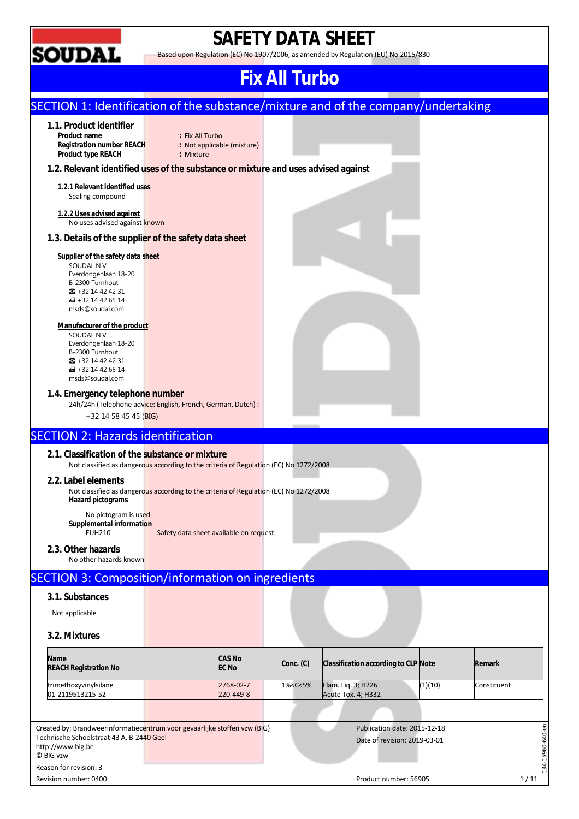

## **SAFETY DATA SHEET**

Based upon Regulation (EC) No 1907/2006, as amended by Regulation (EU) No 2015/830

### **Fix All Turbo**

#### SECTION 1: Identification of the substance/mixture and of the company/undertaking **1.1. Product identifier Product 1 Fix All Turbo**<br>**Product in Mode (mixture) Registration number REACH : Not app**<br> **Product type REACH : Mixture Product type REACH 1.2. Relevant identified uses of the substance or mixture and uses advised against 1.2.1 Relevant identified uses**  Sealing compound **1.2.2 Uses advised against**  No uses advised against known **1.3. Details of the supplier of the safety data sheet Supplier of the safety data sheet**  SOUDAL N.V. Everdongenlaan 18-20 B-2300 Turnhout ☎ +32 14 42 42 31  $\bigoplus$  +32 14 42 65 14 msds@soudal.com **Manufacturer of the product**  SOUDAL N.V. Everdongenlaan 18-20 B-2300 Turnhout ☎ +32 14 42 42 31  $\overline{1}$  +32 14 42 65 14 msds@soudal.com **1.4. Emergency telephone number**  24h/24h (Telephone advice: English, French, German, Dutch) : +32 14 58 45 45 (BIG) SECTION 2: Hazards identification **2.1. Classification of the substance or mixture**  Not classified as dangerous according to the criteria of Regulation (EC) No 1272/2008 **2.2. Label elements**  Not classified as dangerous according to the criteria of Regulation (EC) No 1272/2008 **Hazard pictograms**  No pictogram is used **Supplemental information**  Safety data sheet available on request. **2.3. Other hazards**  No other hazards known SECTION 3: Composition/information on ingredients **3.1. Substances**  Not applicable **3.2. Mixtures CAS No Name EC No Conc. (C) Classification according to CLP Note Remark REACH Registration No**  trimethoxyvinylsilane 2768-02-7 1%<C<5% Flam. Liq. 3; H226 (1)(10) Constituent 01-2119513215-52 220-449-8 Acute Tox. 4; H332 34-15960-640-en 134-15960-640-en Created by: Brandweerinformatiecentrum voor gevaarlijke stoffen vzw (BIG) Publication date: 2015-12-18 Technische Schoolstraat 43 A, B-2440 Geel Date of revision: 2019-03-01 http://www.big.be © BIG vzw Reason for revision: 3

Revision number: 0400 Product number: 56905 Product number: 56905 Product number: 56905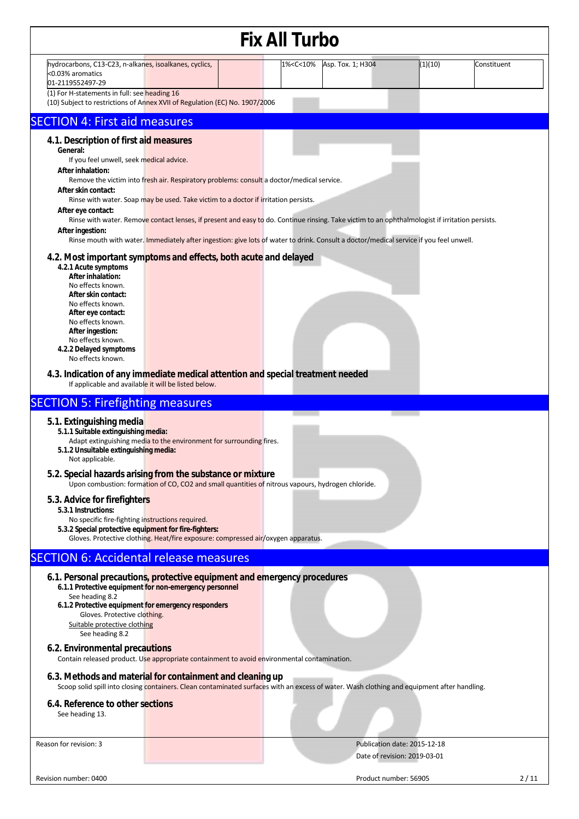|                                                                                                                                                                                                                                                                                                                                                                                                                                                                                                                                                                                                                                                                                                                                                                                                                                                                                                                                                                                                                                                                               |  | <b>Fix All Turbo</b>                                                                     |                   |                              |             |
|-------------------------------------------------------------------------------------------------------------------------------------------------------------------------------------------------------------------------------------------------------------------------------------------------------------------------------------------------------------------------------------------------------------------------------------------------------------------------------------------------------------------------------------------------------------------------------------------------------------------------------------------------------------------------------------------------------------------------------------------------------------------------------------------------------------------------------------------------------------------------------------------------------------------------------------------------------------------------------------------------------------------------------------------------------------------------------|--|------------------------------------------------------------------------------------------|-------------------|------------------------------|-------------|
| hydrocarbons, C13-C23, n-alkanes, isoalkanes, cyclics,<br><0.03% aromatics<br>01-2119552497-29                                                                                                                                                                                                                                                                                                                                                                                                                                                                                                                                                                                                                                                                                                                                                                                                                                                                                                                                                                                |  | 1% <c<10%< th=""><th>Asp. Tox. 1; H304</th><th>(1)(10)</th><th>Constituent</th></c<10%<> | Asp. Tox. 1; H304 | (1)(10)                      | Constituent |
| (1) For H-statements in full: see heading 16<br>(10) Subject to restrictions of Annex XVII of Regulation (EC) No. 1907/2006                                                                                                                                                                                                                                                                                                                                                                                                                                                                                                                                                                                                                                                                                                                                                                                                                                                                                                                                                   |  |                                                                                          |                   |                              |             |
| <b>SECTION 4: First aid measures</b>                                                                                                                                                                                                                                                                                                                                                                                                                                                                                                                                                                                                                                                                                                                                                                                                                                                                                                                                                                                                                                          |  |                                                                                          |                   |                              |             |
| 4.1. Description of first aid measures<br>General:<br>If you feel unwell, seek medical advice.<br>After inhalation:<br>Remove the victim into fresh air. Respiratory problems: consult a doctor/medical service.<br>After skin contact:<br>Rinse with water. Soap may be used. Take victim to a doctor if irritation persists.<br>After eye contact:<br>Rinse with water. Remove contact lenses, if present and easy to do. Continue rinsing. Take victim to an ophthalmologist if irritation persists.<br>After ingestion:<br>Rinse mouth with water. Immediately after ingestion: give lots of water to drink. Consult a doctor/medical service if you feel unwell.<br>4.2. Most important symptoms and effects, both acute and delayed<br>4.2.1 Acute symptoms<br>After inhalation:<br>No effects known.<br>After skin contact:<br>No effects known.<br>After eye contact:<br>No effects known.<br>After ingestion:<br>No effects known.<br>4.2.2 Delayed symptoms<br>No effects known.<br>4.3. Indication of any immediate medical attention and special treatment needed |  |                                                                                          |                   |                              |             |
| If applicable and available it will be listed below.                                                                                                                                                                                                                                                                                                                                                                                                                                                                                                                                                                                                                                                                                                                                                                                                                                                                                                                                                                                                                          |  |                                                                                          |                   |                              |             |
| <b>SECTION 5: Firefighting measures</b><br>5.1. Extinguishing media<br>5.1.1 Suitable extinguishing media:<br>Adapt extinguishing media to the environment for surrounding fires.<br>5.1.2 Unsuitable extinguishing media:<br>Not applicable.                                                                                                                                                                                                                                                                                                                                                                                                                                                                                                                                                                                                                                                                                                                                                                                                                                 |  |                                                                                          |                   |                              |             |
| 5.2. Special hazards arising from the substance or mixture<br>Upon combustion: formation of CO, CO2 and small quantities of nitrous vapours, hydrogen chloride.                                                                                                                                                                                                                                                                                                                                                                                                                                                                                                                                                                                                                                                                                                                                                                                                                                                                                                               |  |                                                                                          |                   |                              |             |
| 5.3. Advice for firefighters<br>5.3.1 Instructions:<br>No specific fire-fighting instructions required.<br>5.3.2 Special protective equipment for fire-fighters:<br>Gloves. Protective clothing. Heat/fire exposure: compressed air/oxygen apparatus.                                                                                                                                                                                                                                                                                                                                                                                                                                                                                                                                                                                                                                                                                                                                                                                                                         |  |                                                                                          |                   |                              |             |
| <b>SECTION 6: Accidental release measures</b>                                                                                                                                                                                                                                                                                                                                                                                                                                                                                                                                                                                                                                                                                                                                                                                                                                                                                                                                                                                                                                 |  |                                                                                          |                   |                              |             |
| 6.1. Personal precautions, protective equipment and emergency procedures<br>6.1.1 Protective equipment for non-emergency personnel<br>See heading 8.2<br>6.1.2 Protective equipment for emergency responders<br>Gloves. Protective clothing.<br>Suitable protective clothing<br>See heading 8.2<br>6.2. Environmental precautions                                                                                                                                                                                                                                                                                                                                                                                                                                                                                                                                                                                                                                                                                                                                             |  |                                                                                          |                   |                              |             |
| Contain released product. Use appropriate containment to avoid environmental contamination.                                                                                                                                                                                                                                                                                                                                                                                                                                                                                                                                                                                                                                                                                                                                                                                                                                                                                                                                                                                   |  |                                                                                          |                   |                              |             |
| 6.3. Methods and material for containment and cleaning up<br>Scoop solid spill into closing containers. Clean contaminated surfaces with an excess of water. Wash clothing and equipment after handling.                                                                                                                                                                                                                                                                                                                                                                                                                                                                                                                                                                                                                                                                                                                                                                                                                                                                      |  |                                                                                          |                   |                              |             |
| 6.4. Reference to other sections<br>See heading 13.                                                                                                                                                                                                                                                                                                                                                                                                                                                                                                                                                                                                                                                                                                                                                                                                                                                                                                                                                                                                                           |  |                                                                                          |                   |                              |             |
| Reason for revision: 3                                                                                                                                                                                                                                                                                                                                                                                                                                                                                                                                                                                                                                                                                                                                                                                                                                                                                                                                                                                                                                                        |  |                                                                                          |                   | Publication date: 2015-12-18 |             |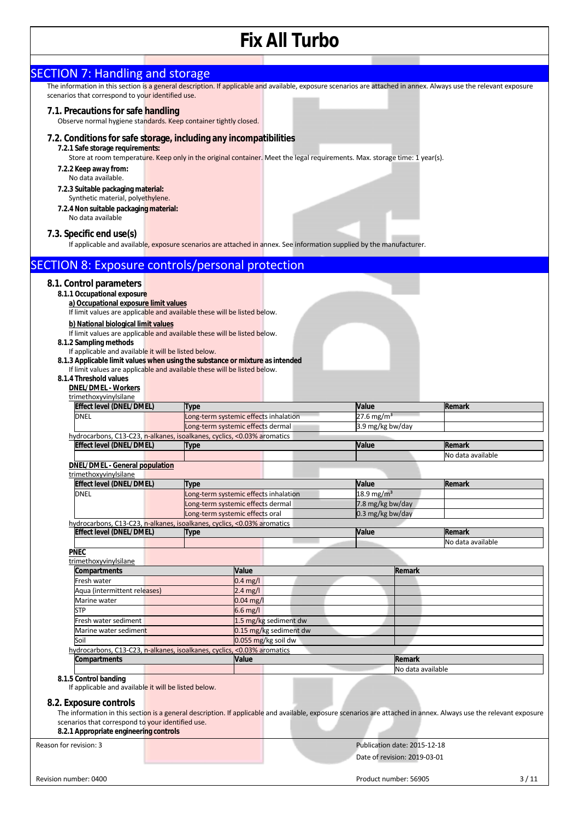| <b>SECTION 7: Handling and storage</b>                                                                                                                            |                                                                            |                                               |                                              |                              |                             |
|-------------------------------------------------------------------------------------------------------------------------------------------------------------------|----------------------------------------------------------------------------|-----------------------------------------------|----------------------------------------------|------------------------------|-----------------------------|
| The information in this section is a general description. If applicable and available, exposure scenarios are attached in annex. Always use the relevant exposure |                                                                            |                                               |                                              |                              |                             |
| scenarios that correspond to your identified use.                                                                                                                 |                                                                            |                                               |                                              |                              |                             |
| 7.1. Precautions for safe handling<br>Observe normal hygiene standards. Keep container tightly closed.                                                            |                                                                            |                                               |                                              |                              |                             |
| 7.2. Conditions for safe storage, including any incompatibilities                                                                                                 |                                                                            |                                               |                                              |                              |                             |
| 7.2.1 Safe storage requirements:                                                                                                                                  |                                                                            |                                               |                                              |                              |                             |
| Store at room temperature. Keep only in the original container. Meet the legal requirements. Max. storage time: 1 year(s).                                        |                                                                            |                                               |                                              |                              |                             |
| 7.2.2 Keep away from:<br>No data available.                                                                                                                       |                                                                            |                                               |                                              |                              |                             |
| 7.2.3 Suitable packaging material:                                                                                                                                |                                                                            |                                               |                                              |                              |                             |
| Synthetic material, polyethylene.                                                                                                                                 |                                                                            |                                               |                                              |                              |                             |
| 7.2.4 Non suitable packaging material:                                                                                                                            |                                                                            |                                               |                                              |                              |                             |
| No data available                                                                                                                                                 |                                                                            |                                               |                                              |                              |                             |
| 7.3. Specific end use(s)                                                                                                                                          |                                                                            |                                               |                                              |                              |                             |
| If applicable and available, exposure scenarios are attached in annex. See information supplied by the manufacturer.                                              |                                                                            |                                               |                                              |                              |                             |
| <b>SECTION 8: Exposure controls/personal protection</b>                                                                                                           |                                                                            |                                               |                                              |                              |                             |
| 8.1. Control parameters                                                                                                                                           |                                                                            |                                               |                                              |                              |                             |
| 8.1.1 Occupational exposure<br>a) Occupational exposure limit values                                                                                              |                                                                            |                                               |                                              |                              |                             |
| If limit values are applicable and available these will be listed below.                                                                                          |                                                                            |                                               |                                              |                              |                             |
| b) National biological limit values                                                                                                                               |                                                                            |                                               |                                              |                              |                             |
| If limit values are applicable and available these will be listed below.                                                                                          |                                                                            |                                               |                                              |                              |                             |
| 8.1.2 Sampling methods<br>If applicable and available it will be listed below.                                                                                    |                                                                            |                                               |                                              |                              |                             |
| 8.1.3 Applicable limit values when using the substance or mixture as intended                                                                                     |                                                                            |                                               |                                              |                              |                             |
| If limit values are applicable and available these will be listed below.<br>8.1.4 Threshold values                                                                |                                                                            |                                               |                                              |                              |                             |
| <b>DNEL/DMEL - Workers</b>                                                                                                                                        |                                                                            |                                               |                                              |                              |                             |
| trimethoxyvinylsilane                                                                                                                                             |                                                                            |                                               |                                              |                              |                             |
| <b>Effect level (DNEL/DMEL)</b>                                                                                                                                   | Type                                                                       |                                               | Value                                        |                              | Remark                      |
| DNEL                                                                                                                                                              | Long-term systemic effects inhalation<br>Long-term systemic effects dermal |                                               | $27.6$ mg/m <sup>3</sup><br>3.9 mg/kg bw/day |                              |                             |
| hydrocarbons, C13-C23, n-alkanes, isoalkanes, cyclics, <0.03% aromatics                                                                                           |                                                                            |                                               |                                              |                              |                             |
| Effect level (DNEL/DMEL)                                                                                                                                          | Type                                                                       |                                               | Value                                        |                              | Remark                      |
| <b>DNEL/DMEL - General population</b>                                                                                                                             |                                                                            |                                               |                                              |                              | No data available           |
| trimethoxyvinylsilane                                                                                                                                             |                                                                            |                                               |                                              |                              |                             |
| Effect level (DNEL/DMEL)                                                                                                                                          | Type                                                                       |                                               | Value                                        |                              | Remark                      |
| <b>DNEL</b>                                                                                                                                                       | Long-term systemic effects inhalation<br>Long-term systemic effects dermal |                                               | 18.9 mg/m <sup>3</sup><br>7.8 mg/kg bw/day   |                              |                             |
|                                                                                                                                                                   | Long-term systemic effects oral                                            |                                               | 0.3 mg/kg bw/day                             |                              |                             |
| hydrocarbons, C13-C23, n-alkanes, isoalkanes, cyclics, <0.03% aromatics                                                                                           |                                                                            |                                               |                                              |                              |                             |
| <b>Effect level (DNEL/DMEL)</b>                                                                                                                                   | <b>Type</b>                                                                |                                               | Value                                        |                              | Remark<br>No data available |
| <b>PNEC</b>                                                                                                                                                       |                                                                            |                                               |                                              |                              |                             |
| trimethoxyvinylsilane                                                                                                                                             |                                                                            |                                               |                                              |                              |                             |
| Compartments<br>Fresh water                                                                                                                                       |                                                                            | Value<br>$0.4$ mg/l                           |                                              | Remark                       |                             |
| Aqua (intermittent releases)                                                                                                                                      |                                                                            | $2.4 \text{ mg/l}$                            |                                              |                              |                             |
| Marine water                                                                                                                                                      |                                                                            | $0.04$ mg/l                                   |                                              |                              |                             |
| <b>STP</b>                                                                                                                                                        |                                                                            | $6.6$ mg/l                                    |                                              |                              |                             |
| Fresh water sediment                                                                                                                                              |                                                                            | 1.5 mg/kg sediment dw                         |                                              |                              |                             |
| Marine water sediment<br>Soil                                                                                                                                     |                                                                            | 0.15 mg/kg sediment dw<br>0.055 mg/kg soil dw |                                              |                              |                             |
| hydrocarbons, C13-C23, n-alkanes, isoalkanes, cyclics, <0.03% aromatics                                                                                           |                                                                            |                                               |                                              |                              |                             |
| Compartments                                                                                                                                                      | Value                                                                      |                                               |                                              | Remark                       |                             |
| 8.1.5 Control banding                                                                                                                                             |                                                                            |                                               |                                              | No data available            |                             |
| If applicable and available it will be listed below.                                                                                                              |                                                                            |                                               |                                              |                              |                             |
| 8.2. Exposure controls                                                                                                                                            |                                                                            |                                               |                                              |                              |                             |
| The information in this section is a general description. If applicable and available, exposure scenarios are attached in annex. Always use the relevant exposure |                                                                            |                                               |                                              |                              |                             |
| scenarios that correspond to your identified use.                                                                                                                 |                                                                            |                                               |                                              |                              |                             |
| 8.2.1 Appropriate engineering controls                                                                                                                            |                                                                            |                                               |                                              |                              |                             |
| Reason for revision: 3                                                                                                                                            |                                                                            |                                               |                                              | Publication date: 2015-12-18 |                             |
|                                                                                                                                                                   |                                                                            |                                               |                                              | Date of revision: 2019-03-01 |                             |
| Revision number: 0400                                                                                                                                             |                                                                            |                                               |                                              | Product number: 56905        | 3/11                        |
|                                                                                                                                                                   |                                                                            |                                               |                                              |                              |                             |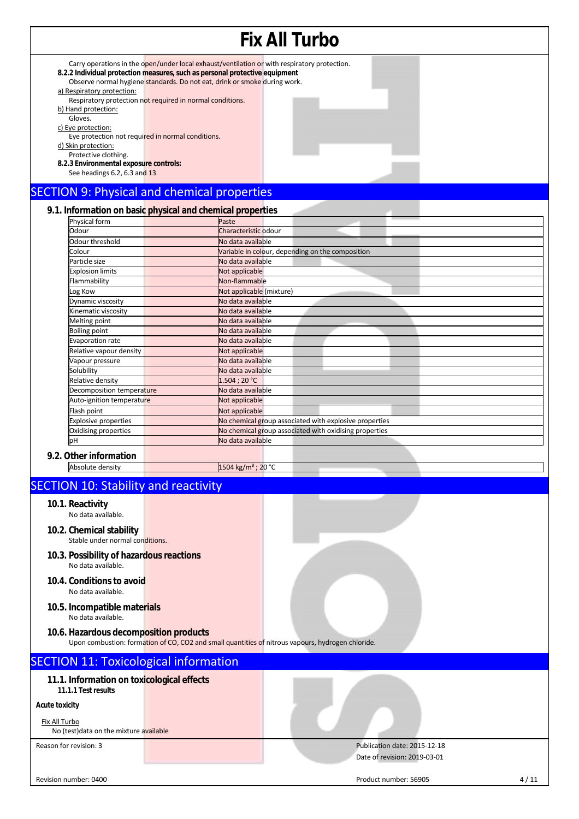#### **Fix All Turbo**  Carry operations in the open/under local exhaust/ventilation or with respiratory protection. **8.2.2 Individual protection measures, such as personal protective equipment** Observe normal hygiene standards. Do not eat, drink or smoke during work. a) Respiratory protection: Respiratory protection not required in normal conditions. b) Hand protection: Gloves. c) Eye protection: Eye protection not required in normal conditions. d) Skin protection: Protective clothing. **8.2.3 Environmental exposure controls:**  See headings 6.2, 6.3 and 13 SECTION 9: Physical and chemical properties

#### **9.1. Information on basic physical and chemical properties**

| Physical form               | <b>The Company</b><br>Paste                            |
|-----------------------------|--------------------------------------------------------|
| Odour                       | Characteristic odour                                   |
| Odour threshold             | No data available                                      |
| Colour                      | Variable in colour, depending on the composition       |
| Particle size               | No data available                                      |
| <b>Explosion limits</b>     | Not applicable                                         |
| Flammability                | Non-flammable                                          |
| Log Kow                     | Not applicable (mixture)                               |
| Dynamic viscosity           | No data available                                      |
| Kinematic viscosity         | No data available                                      |
| Melting point               | No data available                                      |
| <b>Boiling point</b>        | No data available                                      |
| Evaporation rate            | No data available                                      |
| Relative vapour density     | Not applicable                                         |
| Vapour pressure             | No data available                                      |
| Solubility                  | No data available                                      |
| Relative density            | 1.504:20 °C                                            |
| Decomposition temperature   | No data available                                      |
| Auto-ignition temperature   | Not applicable                                         |
| Flash point                 | Not applicable                                         |
| <b>Explosive properties</b> | No chemical group associated with explosive properties |
| Oxidising properties        | No chemical group associated with oxidising properties |
| pH                          | No data available                                      |
| $\bigcap$ in an infarmation |                                                        |

#### **9.2. Other information**

| Absolute density |
|------------------|
|------------------|

### SECTION 10: Stability and reactivity

- **10.1. Reactivity** No data available.
- **10.2. Chemical stability**
- Stable under normal conditions.
- **10.3. Possibility of hazardous reactions**  No data available.
- **10.4. Conditions to avoid**  No data available.
- **10.5. Incompatible materials**  No data available.
- **10.6. Hazardous decomposition products** 
	- Upon combustion: formation of CO, CO2 and small quantities of nitrous vapours, hydrogen chloride.

 $1504 \text{ kg/m}^3$ ; 20 °C

### SECTION 11: Toxicological information

**11.1. Information on toxicological effects 11.1.1 Test results** 

#### **Acute toxicity**

Fix All Turbo

No (test)data on the mixture available

Reason for revision: 3 Publication date: 2015-12-18 Date of revision: 2019-03-01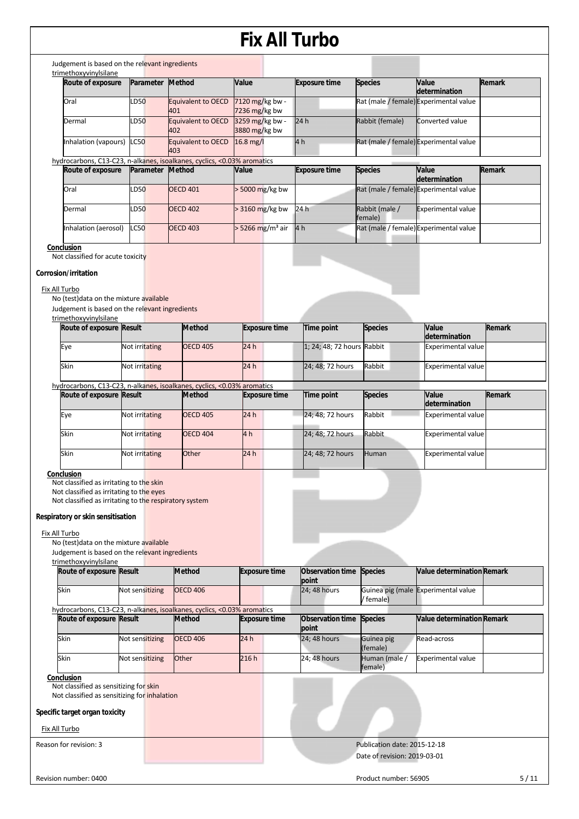| Route of exposure                                                                                                                                                                                                  | Parameter       | <b>Method</b>                                                                            | Value                            | <b>Exposure time</b>              | <b>Species</b>                                               | Value<br>determination                 | Remark |
|--------------------------------------------------------------------------------------------------------------------------------------------------------------------------------------------------------------------|-----------------|------------------------------------------------------------------------------------------|----------------------------------|-----------------------------------|--------------------------------------------------------------|----------------------------------------|--------|
| Oral                                                                                                                                                                                                               | LD50            | <b>Equivalent to OECD</b><br>401                                                         | 7120 mg/kg bw -<br>7236 mg/kg bw |                                   |                                                              | Rat (male / female) Experimental value |        |
| Dermal                                                                                                                                                                                                             | LD50            | <b>Equivalent to OECD</b><br>402                                                         | 3259 mg/kg bw -<br>3880 mg/kg bw | 24h                               | Rabbit (female)                                              | Converted value                        |        |
| Inhalation (vapours)                                                                                                                                                                                               | <b>LC50</b>     | <b>Equivalent to OECD</b><br>403                                                         | 16.8 mg/l                        | 4 h                               |                                                              | Rat (male / female) Experimental value |        |
|                                                                                                                                                                                                                    |                 | hydrocarbons, C13-C23, n-alkanes, isoalkanes, cyclics, <0.03% aromatics                  |                                  |                                   |                                                              |                                        |        |
| Route of exposure                                                                                                                                                                                                  | Parameter       | <b>Method</b>                                                                            | Value                            | <b>Exposure time</b>              | <b>Species</b>                                               | Value<br>determination                 | Remark |
| Oral                                                                                                                                                                                                               | LD50            | <b>OECD 401</b>                                                                          | > 5000 mg/kg bw                  |                                   |                                                              | Rat (male / female) Experimental value |        |
| Dermal                                                                                                                                                                                                             | LD50            | <b>OECD 402</b>                                                                          | > 3160 mg/kg bw                  | 24h                               | Rabbit (male /<br>female)                                    | <b>Experimental value</b>              |        |
| Inhalation (aerosol)                                                                                                                                                                                               | LC50            | <b>OECD 403</b>                                                                          | $>$ 5266 mg/m <sup>3</sup> air   | 4 h                               |                                                              | Rat (male / female) Experimental value |        |
| Conclusion<br>Not classified for acute toxicity<br>Corrosion/irritation                                                                                                                                            |                 |                                                                                          |                                  |                                   |                                                              |                                        |        |
| Fix All Turbo<br>No (test) data on the mixture available                                                                                                                                                           |                 |                                                                                          |                                  |                                   |                                                              |                                        |        |
| Judgement is based on the relevant ingredients<br>trimethoxyvinylsilane                                                                                                                                            |                 |                                                                                          |                                  |                                   |                                                              |                                        |        |
| Route of exposure Result                                                                                                                                                                                           |                 | <b>Method</b>                                                                            | <b>Exposure time</b>             | Time point                        | <b>Species</b>                                               | Value<br>determination                 | Remark |
| Eye                                                                                                                                                                                                                | Not irritating  | <b>OECD 405</b>                                                                          | 24h                              | 1; 24; 48; 72 hours Rabbit        |                                                              | <b>Experimental value</b>              |        |
| Skin                                                                                                                                                                                                               | Not irritating  |                                                                                          | 24h                              | 24; 48; 72 hours                  | Rabbit                                                       | <b>Experimental value</b>              |        |
|                                                                                                                                                                                                                    |                 | hydrocarbons, C13-C23, n-alkanes, isoalkanes, cyclics, <0.03% aromatics                  |                                  |                                   |                                                              |                                        |        |
| Route of exposure Result                                                                                                                                                                                           |                 | <b>Method</b>                                                                            | <b>Exposure time</b>             | Time point                        | <b>Species</b>                                               | Value<br>determination                 | Remark |
| Eye                                                                                                                                                                                                                | Not irritating  | <b>OECD 405</b>                                                                          | 24h                              | 24; 48; 72 hours                  | Rabbit                                                       | <b>Experimental value</b>              |        |
| Skin                                                                                                                                                                                                               | Not irritating  | <b>OECD 404</b>                                                                          | 4h                               | 24; 48; 72 hours                  | Rabbit                                                       | <b>Experimental value</b>              |        |
| Skin                                                                                                                                                                                                               | Not irritating  | Other                                                                                    | 24 h                             | 24; 48; 72 hours                  | Human                                                        | <b>Experimental value</b>              |        |
|                                                                                                                                                                                                                    |                 |                                                                                          |                                  |                                   |                                                              |                                        |        |
| Conclusion<br>Not classified as irritating to the skin<br>Not classified as irritating to the eyes<br>Not classified as irritating to the respiratory system<br>Respiratory or skin sensitisation<br>Fix All Turbo |                 |                                                                                          |                                  |                                   |                                                              |                                        |        |
| No (test) data on the mixture available<br>Judgement is based on the relevant ingredients                                                                                                                          |                 |                                                                                          |                                  |                                   |                                                              |                                        |        |
| trimethoxyvinylsilane                                                                                                                                                                                              |                 |                                                                                          |                                  |                                   |                                                              |                                        |        |
| Route of exposure Result                                                                                                                                                                                           |                 | <b>Method</b>                                                                            | <b>Exposure time</b>             | Observation time Species<br>point |                                                              | Value determination Remark             |        |
| Skin                                                                                                                                                                                                               | Not sensitizing | <b>OECD 406</b>                                                                          |                                  | 24; 48 hours                      | female)                                                      | Guinea pig (male Experimental value    |        |
| Route of exposure Result                                                                                                                                                                                           |                 | hydrocarbons, C13-C23, n-alkanes, isoalkanes, cyclics, <0.03% aromatics<br><b>Method</b> | <b>Exposure time</b>             | <b>Observation time</b><br>point  | <b>Species</b>                                               | Value determination Remark             |        |
| Skin                                                                                                                                                                                                               | Not sensitizing | <b>OECD 406</b>                                                                          | 24h                              | 24; 48 hours                      | Guinea pig<br>(female)                                       | Read-across                            |        |
| Skin                                                                                                                                                                                                               | Not sensitizing | Other                                                                                    | 216h                             | 24; 48 hours                      | Human (male /<br>female)                                     | <b>Experimental value</b>              |        |
| Conclusion<br>Not classified as sensitizing for skin<br>Not classified as sensitizing for inhalation<br>Specific target organ toxicity<br>Fix All Turbo                                                            |                 |                                                                                          |                                  |                                   |                                                              |                                        |        |
| Reason for revision: 3                                                                                                                                                                                             |                 |                                                                                          |                                  |                                   | Publication date: 2015-12-18<br>Date of revision: 2019-03-01 |                                        |        |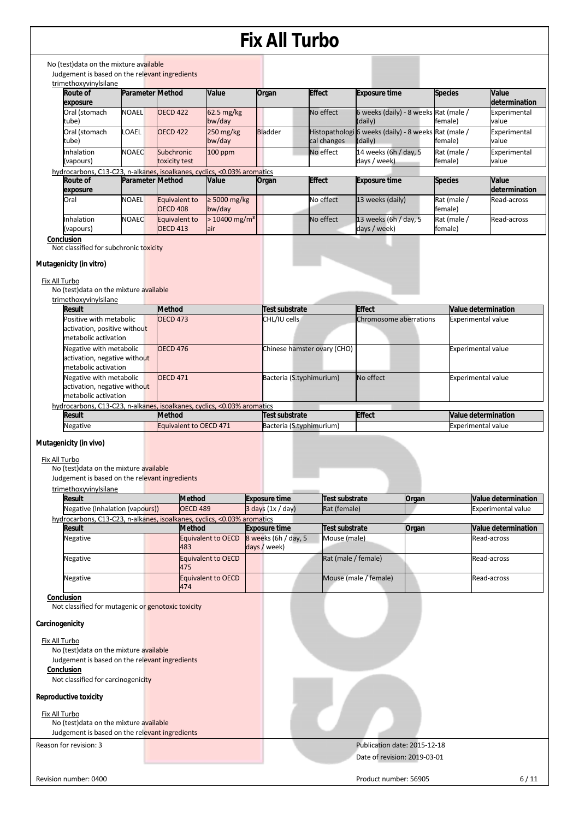| <b>Parameter Method</b><br>Organ<br><b>Effect</b><br><b>Species</b><br>Route of<br>Value<br><b>Exposure time</b><br>exposure<br><b>NOAEL</b><br>Oral (stomach<br><b>OECD 422</b><br>62.5 mg/kg<br>No effect<br>6 weeks (daily) - 8 weeks Rat (male /<br>bw/day<br>female)<br>tube)<br>(daily)<br>250 mg/kg<br>Histopathologi 6 weeks (daily) - 8 weeks Rat (male /<br>Oral (stomach<br>LOAEL<br><b>OECD 422</b><br><b>Bladder</b><br>bw/day<br>cal changes<br>tube)<br>(daily)<br>female)<br>100 ppm<br>No effect<br>14 weeks (6h / day, 5<br>Rat (male /<br>Inhalation<br><b>NOAEC</b><br>Subchronic<br>(vapours)<br>toxicity test<br>days / week)<br>female)<br>hydrocarbons, C13-C23, n-alkanes, isoalkanes, cyclics, <0.03% aromatics<br><b>Effect</b><br><b>Parameter Method</b><br>Value<br><b>Exposure time</b><br>Route of<br>Organ<br><b>Species</b><br>exposure<br>$\geq 5000$ mg/kg<br><b>NOAEL</b><br>No effect<br>13 weeks (daily)<br>Rat (male /<br>Oral<br>Equivalent to<br><b>OECD 408</b><br>bw/day<br>female)<br><b>NOAEC</b><br>$> 10400$ mg/m <sup>3</sup><br>No effect<br>13 weeks (6h / day, 5<br>Inhalation<br><b>Equivalent to</b><br>Rat (male /<br><b>OECD 413</b><br>(vapours)<br>days / week)<br>female)<br>air<br>Conclusion<br>Not classified for subchronic toxicity<br>Mutagenicity (in vitro)<br>Fix All Turbo<br>No (test) data on the mixture available<br>trimethoxyvinylsilane<br>Result<br><b>Method</b><br>Test substrate<br><b>Effect</b><br>Value determination<br>Positive with metabolic<br><b>OECD 473</b><br>CHL/IU cells<br>Chromosome aberrations<br><b>Experimental value</b><br>activation, positive without<br>metabolic activation<br>Negative with metabolic<br>Chinese hamster ovary (CHO)<br><b>OECD 476</b><br><b>Experimental value</b><br>activation, negative without<br>metabolic activation | Value<br>determination<br>Experimental<br>value<br>Experimental<br>value<br>Experimental<br>value<br><b>Value</b><br>determination<br>Read-across<br>Read-across |
|---------------------------------------------------------------------------------------------------------------------------------------------------------------------------------------------------------------------------------------------------------------------------------------------------------------------------------------------------------------------------------------------------------------------------------------------------------------------------------------------------------------------------------------------------------------------------------------------------------------------------------------------------------------------------------------------------------------------------------------------------------------------------------------------------------------------------------------------------------------------------------------------------------------------------------------------------------------------------------------------------------------------------------------------------------------------------------------------------------------------------------------------------------------------------------------------------------------------------------------------------------------------------------------------------------------------------------------------------------------------------------------------------------------------------------------------------------------------------------------------------------------------------------------------------------------------------------------------------------------------------------------------------------------------------------------------------------------------------------------------------------------------------------------------------------------------------------------------------------|------------------------------------------------------------------------------------------------------------------------------------------------------------------|
|                                                                                                                                                                                                                                                                                                                                                                                                                                                                                                                                                                                                                                                                                                                                                                                                                                                                                                                                                                                                                                                                                                                                                                                                                                                                                                                                                                                                                                                                                                                                                                                                                                                                                                                                                                                                                                                         |                                                                                                                                                                  |
|                                                                                                                                                                                                                                                                                                                                                                                                                                                                                                                                                                                                                                                                                                                                                                                                                                                                                                                                                                                                                                                                                                                                                                                                                                                                                                                                                                                                                                                                                                                                                                                                                                                                                                                                                                                                                                                         |                                                                                                                                                                  |
|                                                                                                                                                                                                                                                                                                                                                                                                                                                                                                                                                                                                                                                                                                                                                                                                                                                                                                                                                                                                                                                                                                                                                                                                                                                                                                                                                                                                                                                                                                                                                                                                                                                                                                                                                                                                                                                         |                                                                                                                                                                  |
|                                                                                                                                                                                                                                                                                                                                                                                                                                                                                                                                                                                                                                                                                                                                                                                                                                                                                                                                                                                                                                                                                                                                                                                                                                                                                                                                                                                                                                                                                                                                                                                                                                                                                                                                                                                                                                                         |                                                                                                                                                                  |
|                                                                                                                                                                                                                                                                                                                                                                                                                                                                                                                                                                                                                                                                                                                                                                                                                                                                                                                                                                                                                                                                                                                                                                                                                                                                                                                                                                                                                                                                                                                                                                                                                                                                                                                                                                                                                                                         |                                                                                                                                                                  |
|                                                                                                                                                                                                                                                                                                                                                                                                                                                                                                                                                                                                                                                                                                                                                                                                                                                                                                                                                                                                                                                                                                                                                                                                                                                                                                                                                                                                                                                                                                                                                                                                                                                                                                                                                                                                                                                         |                                                                                                                                                                  |
|                                                                                                                                                                                                                                                                                                                                                                                                                                                                                                                                                                                                                                                                                                                                                                                                                                                                                                                                                                                                                                                                                                                                                                                                                                                                                                                                                                                                                                                                                                                                                                                                                                                                                                                                                                                                                                                         |                                                                                                                                                                  |
|                                                                                                                                                                                                                                                                                                                                                                                                                                                                                                                                                                                                                                                                                                                                                                                                                                                                                                                                                                                                                                                                                                                                                                                                                                                                                                                                                                                                                                                                                                                                                                                                                                                                                                                                                                                                                                                         |                                                                                                                                                                  |
|                                                                                                                                                                                                                                                                                                                                                                                                                                                                                                                                                                                                                                                                                                                                                                                                                                                                                                                                                                                                                                                                                                                                                                                                                                                                                                                                                                                                                                                                                                                                                                                                                                                                                                                                                                                                                                                         |                                                                                                                                                                  |
|                                                                                                                                                                                                                                                                                                                                                                                                                                                                                                                                                                                                                                                                                                                                                                                                                                                                                                                                                                                                                                                                                                                                                                                                                                                                                                                                                                                                                                                                                                                                                                                                                                                                                                                                                                                                                                                         |                                                                                                                                                                  |
|                                                                                                                                                                                                                                                                                                                                                                                                                                                                                                                                                                                                                                                                                                                                                                                                                                                                                                                                                                                                                                                                                                                                                                                                                                                                                                                                                                                                                                                                                                                                                                                                                                                                                                                                                                                                                                                         |                                                                                                                                                                  |
| No effect<br>Negative with metabolic<br>Bacteria (S.typhimurium)<br><b>OECD 471</b><br><b>Experimental value</b><br>activation, negative without<br>metabolic activation                                                                                                                                                                                                                                                                                                                                                                                                                                                                                                                                                                                                                                                                                                                                                                                                                                                                                                                                                                                                                                                                                                                                                                                                                                                                                                                                                                                                                                                                                                                                                                                                                                                                                |                                                                                                                                                                  |
| hydrocarbons, C13-C23, n-alkanes, isoalkanes, cyclics, <0.03% aromatics                                                                                                                                                                                                                                                                                                                                                                                                                                                                                                                                                                                                                                                                                                                                                                                                                                                                                                                                                                                                                                                                                                                                                                                                                                                                                                                                                                                                                                                                                                                                                                                                                                                                                                                                                                                 |                                                                                                                                                                  |
| <b>Effect</b><br><b>Result</b><br><b>Method</b><br>Test substrate<br><b>Value determination</b>                                                                                                                                                                                                                                                                                                                                                                                                                                                                                                                                                                                                                                                                                                                                                                                                                                                                                                                                                                                                                                                                                                                                                                                                                                                                                                                                                                                                                                                                                                                                                                                                                                                                                                                                                         |                                                                                                                                                                  |
| Equivalent to OECD 471<br>Negative<br>Bacteria (S.typhimurium)<br><b>Experimental value</b><br>Mutagenicity (in vivo)                                                                                                                                                                                                                                                                                                                                                                                                                                                                                                                                                                                                                                                                                                                                                                                                                                                                                                                                                                                                                                                                                                                                                                                                                                                                                                                                                                                                                                                                                                                                                                                                                                                                                                                                   |                                                                                                                                                                  |
|                                                                                                                                                                                                                                                                                                                                                                                                                                                                                                                                                                                                                                                                                                                                                                                                                                                                                                                                                                                                                                                                                                                                                                                                                                                                                                                                                                                                                                                                                                                                                                                                                                                                                                                                                                                                                                                         |                                                                                                                                                                  |
| Fix All Turbo                                                                                                                                                                                                                                                                                                                                                                                                                                                                                                                                                                                                                                                                                                                                                                                                                                                                                                                                                                                                                                                                                                                                                                                                                                                                                                                                                                                                                                                                                                                                                                                                                                                                                                                                                                                                                                           |                                                                                                                                                                  |
| No (test) data on the mixture available<br>Judgement is based on the relevant ingredients                                                                                                                                                                                                                                                                                                                                                                                                                                                                                                                                                                                                                                                                                                                                                                                                                                                                                                                                                                                                                                                                                                                                                                                                                                                                                                                                                                                                                                                                                                                                                                                                                                                                                                                                                               |                                                                                                                                                                  |
|                                                                                                                                                                                                                                                                                                                                                                                                                                                                                                                                                                                                                                                                                                                                                                                                                                                                                                                                                                                                                                                                                                                                                                                                                                                                                                                                                                                                                                                                                                                                                                                                                                                                                                                                                                                                                                                         |                                                                                                                                                                  |
| trimethoxyvinylsilane                                                                                                                                                                                                                                                                                                                                                                                                                                                                                                                                                                                                                                                                                                                                                                                                                                                                                                                                                                                                                                                                                                                                                                                                                                                                                                                                                                                                                                                                                                                                                                                                                                                                                                                                                                                                                                   |                                                                                                                                                                  |

| Negative (Inhalation (vapours))                                         | <b>OECD 489</b>           |              | $3$ days $(1x / day)$  | Rat (female)          |       | <b>Experimental value</b>  |
|-------------------------------------------------------------------------|---------------------------|--------------|------------------------|-----------------------|-------|----------------------------|
| hydrocarbons, C13-C23, n-alkanes, isoalkanes, cyclics, <0.03% aromatics |                           |              |                        |                       |       |                            |
| Result                                                                  | <b>Method</b>             |              | <b>Exposure time</b>   | Test substrate        | Organ | <b>Value determination</b> |
| <b>Negative</b>                                                         | Equivalent to OECD<br>483 | days / week) | $8$ weeks (6h / day, 5 | Mouse (male)          |       | Read-across                |
| <b>Negative</b>                                                         | Equivalent to OECD<br>475 |              |                        | Rat (male / female)   |       | Read-across                |
| <b>Negative</b>                                                         | Equivalent to OECD<br>474 |              |                        | Mouse (male / female) |       | Read-across                |

**Conclusion** 

Not classified for mutagenic or genotoxic toxicity

#### **Carcinogenicity**

Fix All Turbo No (test)data on the mixture available Judgement is based on the relevant ingredients **Conclusion**  Not classified for carcinogenicity

### **Reproductive toxicity**

Fix All Turbo

No (test)data on the mixture available Judgement is based on the relevant ingredients

Reason for revision: 3 Publication date: 2015-12-18 Date of revision: 2019-03-01

Revision number: 0400 6/11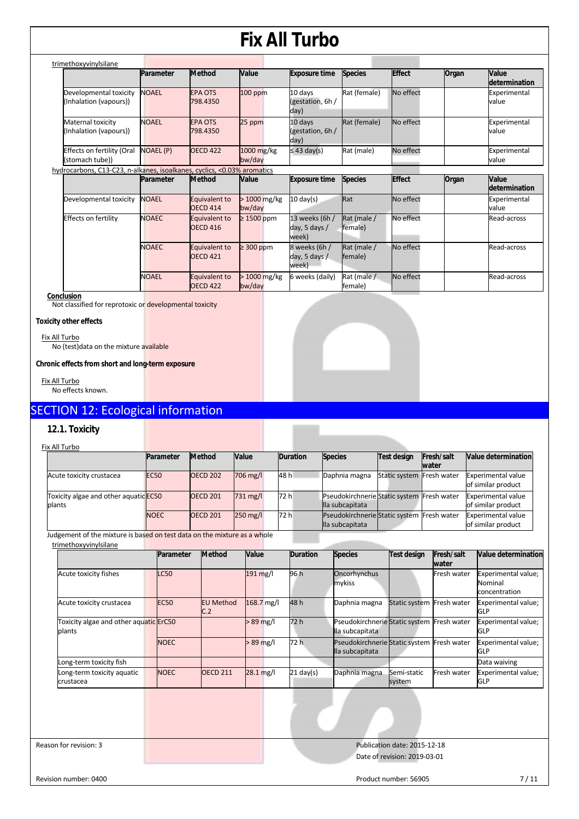| trimethoxyvinylsilane                                                   |                  |                                  |                         |                                            |                        |               |       |                        |
|-------------------------------------------------------------------------|------------------|----------------------------------|-------------------------|--------------------------------------------|------------------------|---------------|-------|------------------------|
|                                                                         | Parameter        | <b>Method</b>                    | Value                   | <b>Exposure time</b>                       | <b>Species</b>         | <b>Effect</b> | Organ | Value<br>determination |
| Developmental toxicity<br>(Inhalation (vapours))                        | <b>NOAEL</b>     | <b>EPA OTS</b><br>798.4350       | $100$ ppm               | 10 days<br>(gestation, 6h /<br>day)        | Rat (female)           | No effect     |       | Experimental<br>value  |
| Maternal toxicity<br>(Inhalation (vapours))                             | <b>NOAEL</b>     | <b>EPA OTS</b><br>798.4350       | 25 ppm                  | 10 days<br>(gestation, 6h /<br>day)        | Rat (female)           | No effect     |       | Experimental<br>value  |
| Effects on fertility (Oral<br>(stomach tube))                           | <b>NOAEL (P)</b> | <b>OECD 422</b>                  | 1000 mg/kg<br>bw/day    | $\leq$ 43 day(s)                           | Rat (male)             | No effect     |       | Experimental<br>value  |
| hydrocarbons, C13-C23, n-alkanes, isoalkanes, cyclics, <0.03% aromatics |                  |                                  |                         |                                            |                        |               |       |                        |
|                                                                         | Parameter        | <b>Method</b>                    | <b>Value</b>            | <b>Exposure time</b>                       | <b>Species</b>         | <b>Effect</b> | Organ | Value<br>determination |
| Developmental toxicity                                                  | <b>NOAEL</b>     | Equivalent to<br><b>OECD 414</b> | $>1000$ mg/kg<br>bw/day | $10 \text{ day(s)}$                        | Rat                    | No effect     |       | Experimental<br>value  |
| Effects on fertility                                                    | <b>NOAEC</b>     | Equivalent to<br><b>OECD 416</b> | $\geq$ 1500 ppm         | 13 weeks (6h /<br>day, 5 days $/$<br>week) | Rat (male /<br>female) | No effect     |       | Read-across            |
|                                                                         | <b>NOAEC</b>     | Equivalent to<br><b>OECD 421</b> | $\geq$ 300 ppm          | 8 weeks (6h /<br>day, 5 days /<br>week)    | Rat (male /<br>female) | No effect     |       | Read-across            |
|                                                                         | <b>NOAEL</b>     | Equivalent to<br><b>OECD 422</b> | > 1000 mg/kg<br>bw/day  | 6 weeks (daily)                            | Rat (male /<br>female) | No effect     |       | Read-across            |

#### **Conclusion**

Not classified for reprotoxic or developmental toxicity

#### **Toxicity other effects**

Fix All Turbo No (test)data on the mixture available

**Chronic effects from short and long-term exposure** 

Fix All Turbo No effects known.

### SECTION 12: Ecological information

#### **12.1. Toxicity**

| Fix All Turbo                                   |             |                 |              |                 |                                                               |                           |                     |                                                 |
|-------------------------------------------------|-------------|-----------------|--------------|-----------------|---------------------------------------------------------------|---------------------------|---------------------|-------------------------------------------------|
|                                                 | Parameter   | Method          | <b>Value</b> | <b>Duration</b> | <b>Species</b>                                                | <b>Test design</b>        | Fresh/salt<br>water | <b>Value determination</b>                      |
| Acute toxicity crustacea                        | <b>EC50</b> | <b>OECD 202</b> | $706$ mg/    | 48 h            | Daphnia magna                                                 | Static system Fresh water |                     | <b>Experimental value</b><br>of similar product |
| Toxicity algae and other aquatic EC50<br>plants |             | <b>OECD 201</b> | 731 mg/l     | 72 h            | Pseudokirchnerie Static system Fresh water<br>lla subcapitata |                           |                     | <b>Experimental value</b><br>of similar product |
|                                                 | <b>NOEC</b> | <b>OECD 201</b> | 250 mg/l     | 72 h            | Pseudokirchnerie Static system<br>lla subcapitata             |                           | Fresh water         | <b>Experimental value</b><br>of similar product |

Judgement of the mixture is based on test data on the mixture as a whole

|                                                  | Parameter   | <b>Method</b>           | Value                  | <b>Duration</b> | <b>Species</b>                                                | <b>Test design</b>        | Fresh/salt<br>water | Value determination                             |
|--------------------------------------------------|-------------|-------------------------|------------------------|-----------------|---------------------------------------------------------------|---------------------------|---------------------|-------------------------------------------------|
| Acute toxicity fishes                            | <b>LC50</b> |                         | $191$ mg/l             | 96 h            | Oncorhynchus<br>mykiss                                        |                           | Fresh water         | Experimental value;<br>Nominal<br>concentration |
| Acute toxicity crustacea                         | <b>EC50</b> | <b>EU Method</b><br>C.2 | 168.7 mg/l             | 48 h            | Daphnia magna                                                 | Static system Fresh water |                     | Experimental value;<br><b>GLP</b>               |
| Toxicity algae and other aquatic ErC50<br>plants |             |                         | $>89$ mg/l             | 72 h            | Pseudokirchnerie Static system Fresh water<br>lla subcapitata |                           |                     | Experimental value;<br><b>GLP</b>               |
|                                                  | <b>NOEC</b> |                         | $>89$ mg/l             | 72 h            | Pseudokirchnerie Static system Fresh water<br>lla subcapitata |                           |                     | Experimental value;<br><b>GLP</b>               |
| Long-term toxicity fish                          |             |                         |                        |                 |                                                               |                           |                     | Data waiving                                    |
| Long-term toxicity aquatic<br>crustacea          | <b>NOEC</b> | <b>OECD 211</b>         | $28.1 \,\mathrm{mg/l}$ | $21$ day(s)     | Daphnia magna                                                 | Semi-static<br>system     | Fresh water         | Experimental value;<br><b>GLP</b>               |
|                                                  |             |                         |                        |                 |                                                               |                           |                     |                                                 |

Reason for revision: 3 Publication date: 2015-12-18 Date of revision: 2019-03-01

Revision number: 0400 7/11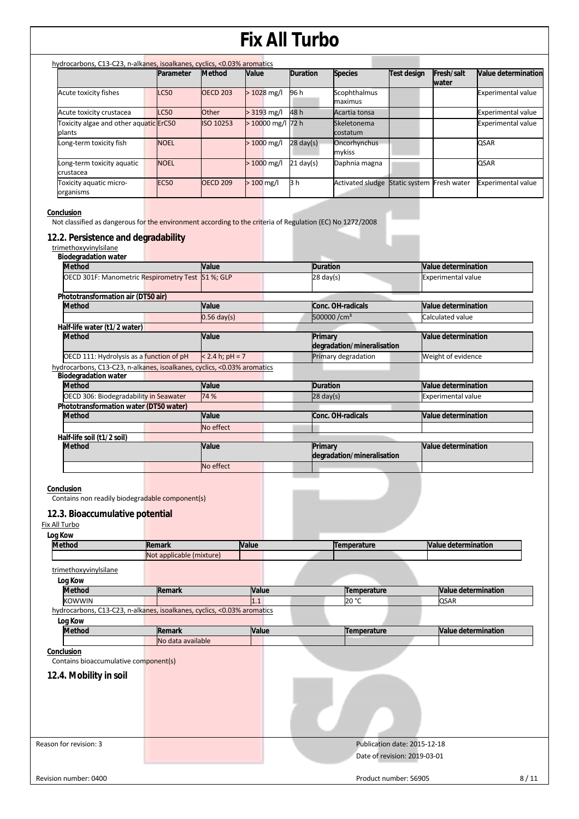| hydrocarbons, C13-C23, n-alkanes, isoalkanes, cyclics, <0.03% aromatics |             |                 |                    |                     |                                |                           |                             |                           |
|-------------------------------------------------------------------------|-------------|-----------------|--------------------|---------------------|--------------------------------|---------------------------|-----------------------------|---------------------------|
|                                                                         | Parameter   | <b>Method</b>   | Value              | <b>Duration</b>     | <b>Species</b>                 | <b>Test design</b>        | Fresh/salt<br><b>Iwater</b> | Value determination       |
| Acute toxicity fishes                                                   | <b>LC50</b> | <b>OECD 203</b> | $>1028$ mg/l       | 96 h                | <b>Scophthalmus</b><br>maximus |                           |                             | <b>Experimental value</b> |
| Acute toxicity crustacea                                                | <b>LC50</b> | Other           | $> 3193$ mg/l      | 48 h                | Acartia tonsa                  |                           |                             | <b>Experimental value</b> |
| Toxicity algae and other aquatic ErC50<br>plants                        |             | ISO 10253       | $>10000$ mg/l 72 h |                     | Skeletonema<br>costatum        |                           |                             | <b>Experimental value</b> |
| Long-term toxicity fish                                                 | <b>NOEL</b> |                 | $>1000$ mg/l       | $28 \text{ day(s)}$ | Oncorhynchus<br>mykiss         |                           |                             | <b>QSAR</b>               |
| Long-term toxicity aquatic<br>crustacea                                 | <b>NOEL</b> |                 | $>1000$ mg/l       | $21 \text{ day(s)}$ | Daphnia magna                  |                           |                             | <b>QSAR</b>               |
| Toxicity aquatic micro-<br>organisms                                    | <b>EC50</b> | <b>OECD 209</b> | $>100$ mg/l        | 3 h                 | <b>Activated sludge</b>        | Static system Fresh water |                             | <b>Experimental value</b> |
|                                                                         |             |                 |                    |                     |                                |                           |                             |                           |

**Conclusion** 

**Not classified as dangerous for the environment according to the criteria of Regulation (EC) No 1272/2008** 

### **12.2. Persistence and degradability**

| <b>Biodegradation water</b>            |                                                                         |                   |                                       |                           |
|----------------------------------------|-------------------------------------------------------------------------|-------------------|---------------------------------------|---------------------------|
| <b>Method</b>                          |                                                                         | Value             | <b>Duration</b>                       | Value determination       |
|                                        | OECD 301F: Manometric Respirometry Test 51 %; GLP                       |                   | $28 \text{ day(s)}$                   | <b>Experimental value</b> |
| Phototransformation air (DT50 air)     |                                                                         |                   |                                       |                           |
| <b>Method</b>                          |                                                                         | Value             | Conc. OH-radicals                     | Value determination       |
|                                        |                                                                         | $0.56$ day(s)     | 500000/cm <sup>3</sup>                | Calculated value          |
| Half-life water (t1/2 water)           |                                                                         |                   |                                       |                           |
| <b>Method</b>                          |                                                                         | Value             | Primary<br>degradation/mineralisation | Value determination       |
|                                        | OECD 111: Hydrolysis as a function of pH                                | $< 2.4 h; pH = 7$ | Primary degradation                   | Weight of evidence        |
|                                        | hydrocarbons, C13-C23, n-alkanes, isoalkanes, cyclics, <0.03% aromatics |                   |                                       |                           |
| <b>Biodegradation water</b>            |                                                                         |                   |                                       |                           |
| <b>Method</b>                          |                                                                         | Value             | <b>Duration</b>                       | Value determination       |
|                                        | OECD 306: Biodegradability in Seawater                                  | 74 %              | $28$ day(s)                           | <b>Experimental value</b> |
| Phototransformation water (DT50 water) |                                                                         |                   |                                       |                           |
| <b>Method</b>                          |                                                                         | Value             | Conc. OH-radicals                     | Value determination       |
|                                        |                                                                         | No effect         |                                       |                           |
| Half-life soil (t1/2 soil)             |                                                                         |                   |                                       |                           |
| <b>Method</b>                          |                                                                         | Value             | Primary<br>degradation/mineralisation | Value determination       |
|                                        |                                                                         | No effect         |                                       |                           |
| Fix All Turbo                          | 12.3. Bioaccumulative potential                                         |                   |                                       |                           |
| Log Kow                                |                                                                         |                   |                                       |                           |
| <b>Method</b>                          | Remark<br>Not applicable (mixture)                                      | Value             | Temperature                           | Value determination       |
| trimethoxyvinylsilane                  |                                                                         |                   |                                       |                           |
|                                        |                                                                         |                   |                                       |                           |
| Log Kow<br><b>Method</b>               | Remark                                                                  | Value             |                                       | Value determination       |
| <b>KOWWIN</b>                          |                                                                         | 1.1               | Temperature<br>20 °C                  | QSAR                      |
|                                        | hydrocarbons, C13-C23, n-alkanes, isoalkanes, cyclics, <0.03% aromatics |                   |                                       |                           |
|                                        |                                                                         |                   |                                       |                           |
| Log Kow<br><b>Method</b>               | Remark                                                                  | Value             | Temperature                           | Value determination       |
|                                        | No data available                                                       |                   |                                       |                           |
|                                        |                                                                         |                   |                                       |                           |
| Conclusion                             |                                                                         |                   |                                       |                           |
| Contains bioaccumulative component(s)  |                                                                         |                   |                                       |                           |
| 12.4. Mobility in soil                 |                                                                         |                   |                                       |                           |
|                                        |                                                                         |                   |                                       |                           |
|                                        |                                                                         |                   |                                       |                           |
|                                        |                                                                         |                   |                                       |                           |
|                                        |                                                                         |                   |                                       |                           |
|                                        |                                                                         |                   |                                       |                           |
|                                        |                                                                         |                   |                                       |                           |
| Reason for revision: 3                 |                                                                         |                   | Publication date: 2015-12-18          |                           |
|                                        |                                                                         |                   | Date of revision: 2019-03-01          |                           |
|                                        |                                                                         |                   |                                       |                           |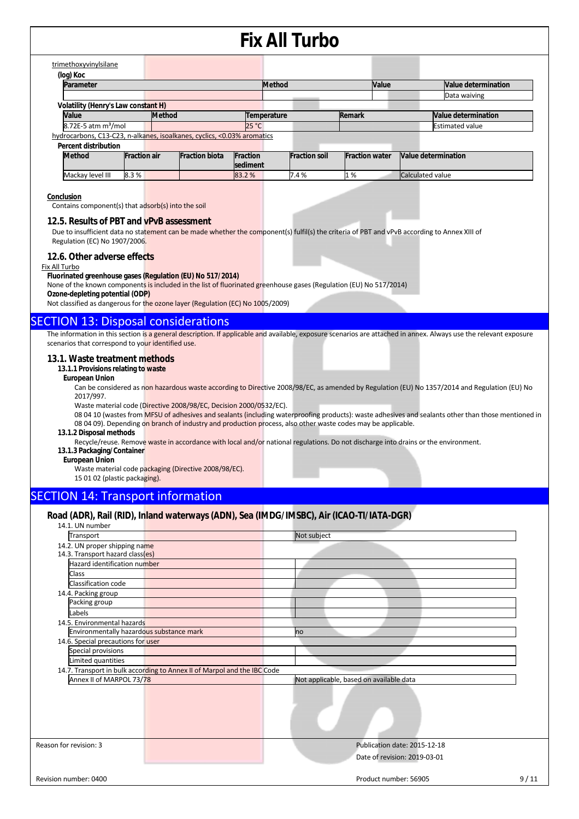|                                                                                                                                                                                                                                                                                                                                                                                                                                                                                                                                                                                    |                                                                                                                                                                 |                     |                                                                                                                                                                       |                 | <b>Fix All Turbo</b> |                       |       |                                                                                                                                                                                                                                                                                                                                                                                                                                                                           |
|------------------------------------------------------------------------------------------------------------------------------------------------------------------------------------------------------------------------------------------------------------------------------------------------------------------------------------------------------------------------------------------------------------------------------------------------------------------------------------------------------------------------------------------------------------------------------------|-----------------------------------------------------------------------------------------------------------------------------------------------------------------|---------------------|-----------------------------------------------------------------------------------------------------------------------------------------------------------------------|-----------------|----------------------|-----------------------|-------|---------------------------------------------------------------------------------------------------------------------------------------------------------------------------------------------------------------------------------------------------------------------------------------------------------------------------------------------------------------------------------------------------------------------------------------------------------------------------|
|                                                                                                                                                                                                                                                                                                                                                                                                                                                                                                                                                                                    | trimethoxyvinylsilane                                                                                                                                           |                     |                                                                                                                                                                       |                 |                      |                       |       |                                                                                                                                                                                                                                                                                                                                                                                                                                                                           |
|                                                                                                                                                                                                                                                                                                                                                                                                                                                                                                                                                                                    | (log) Koc                                                                                                                                                       |                     |                                                                                                                                                                       |                 |                      |                       |       |                                                                                                                                                                                                                                                                                                                                                                                                                                                                           |
|                                                                                                                                                                                                                                                                                                                                                                                                                                                                                                                                                                                    | Parameter                                                                                                                                                       |                     |                                                                                                                                                                       |                 | <b>Method</b>        |                       | Value | Value determination                                                                                                                                                                                                                                                                                                                                                                                                                                                       |
|                                                                                                                                                                                                                                                                                                                                                                                                                                                                                                                                                                                    |                                                                                                                                                                 |                     |                                                                                                                                                                       |                 |                      |                       |       | Data waiving                                                                                                                                                                                                                                                                                                                                                                                                                                                              |
|                                                                                                                                                                                                                                                                                                                                                                                                                                                                                                                                                                                    | Volatility (Henry's Law constant H)                                                                                                                             |                     |                                                                                                                                                                       |                 |                      |                       |       |                                                                                                                                                                                                                                                                                                                                                                                                                                                                           |
|                                                                                                                                                                                                                                                                                                                                                                                                                                                                                                                                                                                    | Value                                                                                                                                                           |                     | <b>Method</b>                                                                                                                                                         | Temperature     |                      | Remark                |       | <b>Value determination</b>                                                                                                                                                                                                                                                                                                                                                                                                                                                |
|                                                                                                                                                                                                                                                                                                                                                                                                                                                                                                                                                                                    | $8.72E-5$ atm m <sup>3</sup> /mol                                                                                                                               |                     |                                                                                                                                                                       | 25 °C           |                      |                       |       | <b>Estimated value</b>                                                                                                                                                                                                                                                                                                                                                                                                                                                    |
|                                                                                                                                                                                                                                                                                                                                                                                                                                                                                                                                                                                    |                                                                                                                                                                 |                     | hydrocarbons, C13-C23, n-alkanes, isoalkanes, cyclics, <0.03% aromatics                                                                                               |                 |                      |                       |       |                                                                                                                                                                                                                                                                                                                                                                                                                                                                           |
|                                                                                                                                                                                                                                                                                                                                                                                                                                                                                                                                                                                    | <b>Percent distribution</b><br><b>Method</b>                                                                                                                    | <b>Fraction air</b> | <b>Fraction biota</b>                                                                                                                                                 | <b>Fraction</b> | <b>Fraction soil</b> | <b>Fraction water</b> |       | Value determination                                                                                                                                                                                                                                                                                                                                                                                                                                                       |
|                                                                                                                                                                                                                                                                                                                                                                                                                                                                                                                                                                                    |                                                                                                                                                                 |                     |                                                                                                                                                                       | sediment        |                      |                       |       |                                                                                                                                                                                                                                                                                                                                                                                                                                                                           |
|                                                                                                                                                                                                                                                                                                                                                                                                                                                                                                                                                                                    | Mackay level III                                                                                                                                                | 8.3%                |                                                                                                                                                                       | 83.2%           | 7.4%                 | 1%                    |       | Calculated value                                                                                                                                                                                                                                                                                                                                                                                                                                                          |
| 12.5. Results of PBT and vPvB assessment<br>Due to insufficient data no statement can be made whether the component(s) fulfil(s) the criteria of PBT and vPvB according to Annex XIII of<br>Regulation (EC) No 1907/2006.<br>12.6. Other adverse effects<br>Fix All Turbo<br>Fluorinated greenhouse gases (Regulation (EU) No 517/2014)<br>None of the known components is included in the list of fluorinated greenhouse gases (Regulation (EU) No 517/2014)<br>Ozone-depleting potential (ODP)<br>Not classified as dangerous for the ozone layer (Regulation (EC) No 1005/2009) |                                                                                                                                                                 |                     |                                                                                                                                                                       |                 |                      |                       |       |                                                                                                                                                                                                                                                                                                                                                                                                                                                                           |
|                                                                                                                                                                                                                                                                                                                                                                                                                                                                                                                                                                                    | scenarios that correspond to your identified use.<br>13.1. Waste treatment methods<br>13.1.1 Provisions relating to waste<br><b>European Union</b><br>2017/997. |                     | <b>SECTION 13: Disposal considerations</b><br>Waste material code (Directive 2008/98/EC, Decision 2000/0532/EC).                                                      |                 |                      |                       |       | The information in this section is a general description. If applicable and available, exposure scenarios are attached in annex. Always use the relevant exposure<br>Can be considered as non hazardous waste according to Directive 2008/98/EC, as amended by Regulation (EU) No 1357/2014 and Regulation (EU) No<br>08 04 10 (wastes from MFSU of adhesives and sealants (including waterproofing products): waste adhesives and sealants other than those mentioned in |
|                                                                                                                                                                                                                                                                                                                                                                                                                                                                                                                                                                                    | 13.1.2 Disposal methods<br>13.1.3 Packaging/Container<br><b>European Union</b><br>15 01 02 (plastic packaging).                                                 |                     | 08 04 09). Depending on branch of industry and production process, also other waste codes may be applicable.<br>Waste material code packaging (Directive 2008/98/EC). |                 |                      |                       |       | Recycle/reuse. Remove waste in accordance with local and/or national regulations. Do not discharge into drains or the environment.                                                                                                                                                                                                                                                                                                                                        |
|                                                                                                                                                                                                                                                                                                                                                                                                                                                                                                                                                                                    | <b>SECTION 14: Transport information</b>                                                                                                                        |                     |                                                                                                                                                                       |                 |                      |                       |       |                                                                                                                                                                                                                                                                                                                                                                                                                                                                           |
|                                                                                                                                                                                                                                                                                                                                                                                                                                                                                                                                                                                    | 14.1. UN number                                                                                                                                                 |                     | Road (ADR), Rail (RID), Inland waterways (ADN), Sea (IMDG/IMSBC), Air (ICAO-TI/IATA-DGR)                                                                              |                 |                      |                       |       |                                                                                                                                                                                                                                                                                                                                                                                                                                                                           |
|                                                                                                                                                                                                                                                                                                                                                                                                                                                                                                                                                                                    | Transport                                                                                                                                                       |                     |                                                                                                                                                                       |                 | $Mot$ cubioct        |                       |       |                                                                                                                                                                                                                                                                                                                                                                                                                                                                           |

| Transport                                                         |                                                                          | Not subject                                                  |      |
|-------------------------------------------------------------------|--------------------------------------------------------------------------|--------------------------------------------------------------|------|
| 14.2. UN proper shipping name<br>14.3. Transport hazard class(es) |                                                                          |                                                              |      |
| Hazard identification number                                      |                                                                          |                                                              |      |
| Class                                                             |                                                                          |                                                              |      |
| Classification code                                               |                                                                          |                                                              |      |
| 14.4. Packing group                                               |                                                                          |                                                              |      |
| Packing group                                                     |                                                                          |                                                              |      |
| Labels                                                            |                                                                          |                                                              |      |
| 14.5. Environmental hazards                                       |                                                                          |                                                              |      |
| Environmentally hazardous substance mark                          |                                                                          | no                                                           |      |
| 14.6. Special precautions for user                                |                                                                          |                                                              |      |
| Special provisions                                                |                                                                          |                                                              |      |
| Limited quantities                                                |                                                                          |                                                              |      |
|                                                                   | 14.7. Transport in bulk according to Annex II of Marpol and the IBC Code |                                                              |      |
| Annex II of MARPOL 73/78                                          |                                                                          | Not applicable, based on available data                      |      |
|                                                                   |                                                                          |                                                              |      |
| Reason for revision: 3                                            |                                                                          | Publication date: 2015-12-18<br>Date of revision: 2019-03-01 |      |
| Revision number: 0400                                             |                                                                          | Product number: 56905                                        | 9/11 |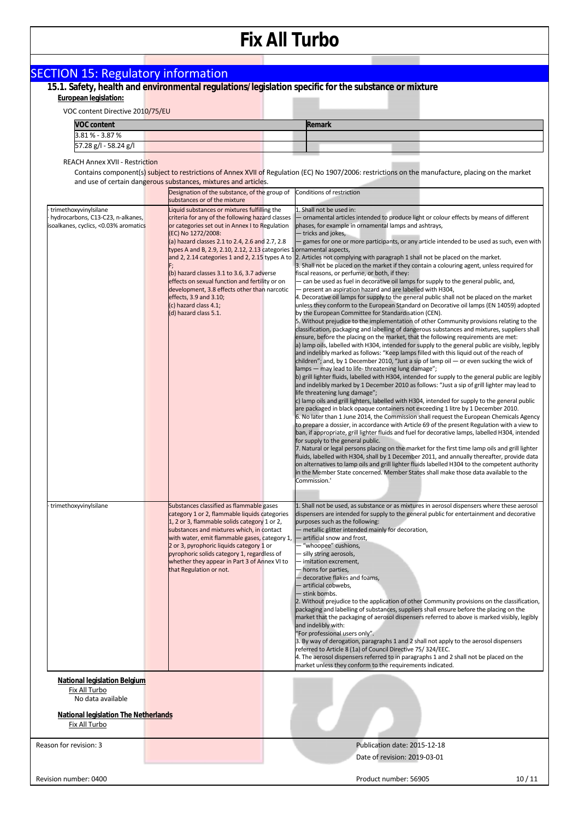| <b>SECTION 15: Regulatory information</b>                                                            |                                                                                                                                                                                                                             |  |                                                                                                                                                                                                                                                                                                                                                                                                                                                                                                                                                                                                                                                                                                                                                                                                                                                               |  |  |  |  |  |
|------------------------------------------------------------------------------------------------------|-----------------------------------------------------------------------------------------------------------------------------------------------------------------------------------------------------------------------------|--|---------------------------------------------------------------------------------------------------------------------------------------------------------------------------------------------------------------------------------------------------------------------------------------------------------------------------------------------------------------------------------------------------------------------------------------------------------------------------------------------------------------------------------------------------------------------------------------------------------------------------------------------------------------------------------------------------------------------------------------------------------------------------------------------------------------------------------------------------------------|--|--|--|--|--|
| 15.1. Safety, health and environmental regulations/legislation specific for the substance or mixture |                                                                                                                                                                                                                             |  |                                                                                                                                                                                                                                                                                                                                                                                                                                                                                                                                                                                                                                                                                                                                                                                                                                                               |  |  |  |  |  |
| European legislation:                                                                                |                                                                                                                                                                                                                             |  |                                                                                                                                                                                                                                                                                                                                                                                                                                                                                                                                                                                                                                                                                                                                                                                                                                                               |  |  |  |  |  |
| VOC content Directive 2010/75/EU                                                                     |                                                                                                                                                                                                                             |  |                                                                                                                                                                                                                                                                                                                                                                                                                                                                                                                                                                                                                                                                                                                                                                                                                                                               |  |  |  |  |  |
| <b>VOC content</b><br>3.81 % - 3.87 %                                                                |                                                                                                                                                                                                                             |  | Remark                                                                                                                                                                                                                                                                                                                                                                                                                                                                                                                                                                                                                                                                                                                                                                                                                                                        |  |  |  |  |  |
| 57.28 g/l - 58.24 g/l                                                                                |                                                                                                                                                                                                                             |  |                                                                                                                                                                                                                                                                                                                                                                                                                                                                                                                                                                                                                                                                                                                                                                                                                                                               |  |  |  |  |  |
| <b>REACH Annex XVII - Restriction</b>                                                                |                                                                                                                                                                                                                             |  |                                                                                                                                                                                                                                                                                                                                                                                                                                                                                                                                                                                                                                                                                                                                                                                                                                                               |  |  |  |  |  |
|                                                                                                      |                                                                                                                                                                                                                             |  | Contains component(s) subject to restrictions of Annex XVII of Regulation (EC) No 1907/2006: restrictions on the manufacture, placing on the market                                                                                                                                                                                                                                                                                                                                                                                                                                                                                                                                                                                                                                                                                                           |  |  |  |  |  |
|                                                                                                      | and use of certain dangerous substances, mixtures and articles.                                                                                                                                                             |  |                                                                                                                                                                                                                                                                                                                                                                                                                                                                                                                                                                                                                                                                                                                                                                                                                                                               |  |  |  |  |  |
|                                                                                                      | Designation of the substance, of the group of<br>substances or of the mixture                                                                                                                                               |  | Conditions of restriction                                                                                                                                                                                                                                                                                                                                                                                                                                                                                                                                                                                                                                                                                                                                                                                                                                     |  |  |  |  |  |
| trimethoxyvinylsilane<br>hydrocarbons, C13-C23, n-alkanes,<br>isoalkanes, cyclics, <0.03% aromatics  | Liquid substances or mixtures fulfilling the<br>criteria for any of the following hazard classes<br>or categories set out in Annex I to Regulation<br>(EC) No 1272/2008:<br>(a) hazard classes 2.1 to 2.4, 2.6 and 2.7, 2.8 |  | 1. Shall not be used in:<br>- ornamental articles intended to produce light or colour effects by means of different<br>phases, for example in ornamental lamps and ashtrays,<br>- tricks and jokes,<br>- games for one or more participants, or any article intended to be used as such, even with                                                                                                                                                                                                                                                                                                                                                                                                                                                                                                                                                            |  |  |  |  |  |
|                                                                                                      | types A and B, 2.9, 2.10, 2.12, 2.13 categories 1 ornamental aspects,<br>(b) hazard classes 3.1 to 3.6, 3.7 adverse<br>effects on sexual function and fertility or on                                                       |  | and 2, 2.14 categories 1 and 2, 2.15 types A to 2. Articles not complying with paragraph 1 shall not be placed on the market.<br>3. Shall not be placed on the market if they contain a colouring agent, unless required for<br>fiscal reasons, or perfume, or both, if they:<br>- can be used as fuel in decorative oil lamps for supply to the general public, and,                                                                                                                                                                                                                                                                                                                                                                                                                                                                                         |  |  |  |  |  |
|                                                                                                      | development, 3.8 effects other than narcotic<br>effects, 3.9 and 3.10;<br>(c) hazard class 4.1;                                                                                                                             |  | - present an aspiration hazard and are labelled with H304,<br>4. Decorative oil lamps for supply to the general public shall not be placed on the market<br>unless they conform to the European Standard on Decorative oil lamps (EN 14059) adopted                                                                                                                                                                                                                                                                                                                                                                                                                                                                                                                                                                                                           |  |  |  |  |  |
|                                                                                                      | (d) hazard class 5.1.                                                                                                                                                                                                       |  | by the European Committee for Standardisation (CEN).<br>5. Without prejudice to the implementation of other Community provisions relating to the<br>classification, packaging and labelling of dangerous substances and mixtures, suppliers shall<br>ensure, before the placing on the market, that the following requirements are met:<br>a) lamp oils, labelled with H304, intended for supply to the general public are visibly, legibly<br>and indelibly marked as follows: "Keep lamps filled with this liquid out of the reach of<br>children"; and, by 1 December 2010, "Just a sip of lamp oil — or even sucking the wick of<br>lamps — may lead to life-threatening lung damage";<br>b) grill lighter fluids, labelled with H304, intended for supply to the general public are legibly                                                              |  |  |  |  |  |
|                                                                                                      |                                                                                                                                                                                                                             |  | and indelibly marked by 1 December 2010 as follows: "Just a sip of grill lighter may lead to<br>life threatening lung damage";<br>c) lamp oils and grill lighters, labelled with H304, intended for supply to the general public<br>are packaged in black opaque containers not exceeding 1 litre by 1 December 2010.<br>6. No later than 1 June 2014, the Commission shall request the European Chemicals Agency<br>to prepare a dossier, in accordance with Article 69 of the present Regulation with a view to<br>ban, if appropriate, grill lighter fluids and fuel for decorative lamps, labelled H304, intended<br>for supply to the general public.<br>7. Natural or legal persons placing on the market for the first time lamp oils and grill lighter<br>fluids, labelled with H304, shall by 1 December 2011, and annually thereafter, provide data |  |  |  |  |  |
| trimethoxyvinylsilane                                                                                | Substances classified as flammable gases                                                                                                                                                                                    |  | on alternatives to lamp oils and grill lighter fluids labelled H304 to the competent authority<br>in the Member State concerned. Member States shall make those data available to the<br>Commission.'<br>1. Shall not be used, as substance or as mixtures in aerosol dispensers where these aerosol                                                                                                                                                                                                                                                                                                                                                                                                                                                                                                                                                          |  |  |  |  |  |
|                                                                                                      | category 1 or 2, flammable liquids categories<br>1, 2 or 3, flammable solids category 1 or 2,<br>substances and mixtures which, in contact                                                                                  |  | dispensers are intended for supply to the general public for entertainment and decorative<br>purposes such as the following:<br>- metallic glitter intended mainly for decoration,                                                                                                                                                                                                                                                                                                                                                                                                                                                                                                                                                                                                                                                                            |  |  |  |  |  |
|                                                                                                      | with water, emit flammable gases, category 1,<br>2 or 3, pyrophoric liquids category 1 or<br>pyrophoric solids category 1, regardless of<br>whether they appear in Part 3 of Annex VI to<br>that Regulation or not.         |  | - artificial snow and frost,<br>- "whoopee" cushions,<br>- silly string aerosols,<br>- imitation excrement,<br>- horns for parties,<br>- decorative flakes and foams,<br>- artificial cobwebs,<br>- stink bombs.                                                                                                                                                                                                                                                                                                                                                                                                                                                                                                                                                                                                                                              |  |  |  |  |  |
|                                                                                                      |                                                                                                                                                                                                                             |  | 2. Without prejudice to the application of other Community provisions on the classification,<br>packaging and labelling of substances, suppliers shall ensure before the placing on the<br>market that the packaging of aerosol dispensers referred to above is marked visibly, legibly<br>and indelibly with:<br>"For professional users only".<br>3. By way of derogation, paragraphs 1 and 2 shall not apply to the aerosol dispensers<br>referred to Article 8 (1a) of Council Directive 75/324/EEC.<br>4. The aerosol dispensers referred to in paragraphs 1 and 2 shall not be placed on the<br>market unless they conform to the requirements indicated.                                                                                                                                                                                               |  |  |  |  |  |
| Fix All Turbo                                                                                        | National legislation Belgium                                                                                                                                                                                                |  |                                                                                                                                                                                                                                                                                                                                                                                                                                                                                                                                                                                                                                                                                                                                                                                                                                                               |  |  |  |  |  |
| No data available                                                                                    |                                                                                                                                                                                                                             |  |                                                                                                                                                                                                                                                                                                                                                                                                                                                                                                                                                                                                                                                                                                                                                                                                                                                               |  |  |  |  |  |
| <b>National legislation The Netherlands</b><br>Fix All Turbo                                         |                                                                                                                                                                                                                             |  |                                                                                                                                                                                                                                                                                                                                                                                                                                                                                                                                                                                                                                                                                                                                                                                                                                                               |  |  |  |  |  |
|                                                                                                      |                                                                                                                                                                                                                             |  |                                                                                                                                                                                                                                                                                                                                                                                                                                                                                                                                                                                                                                                                                                                                                                                                                                                               |  |  |  |  |  |
| Reason for revision: 3                                                                               |                                                                                                                                                                                                                             |  | Publication date: 2015-12-18<br>Date of revision: 2019-03-01                                                                                                                                                                                                                                                                                                                                                                                                                                                                                                                                                                                                                                                                                                                                                                                                  |  |  |  |  |  |
| Revision number: 0400                                                                                |                                                                                                                                                                                                                             |  | Product number: 56905<br>10/11                                                                                                                                                                                                                                                                                                                                                                                                                                                                                                                                                                                                                                                                                                                                                                                                                                |  |  |  |  |  |